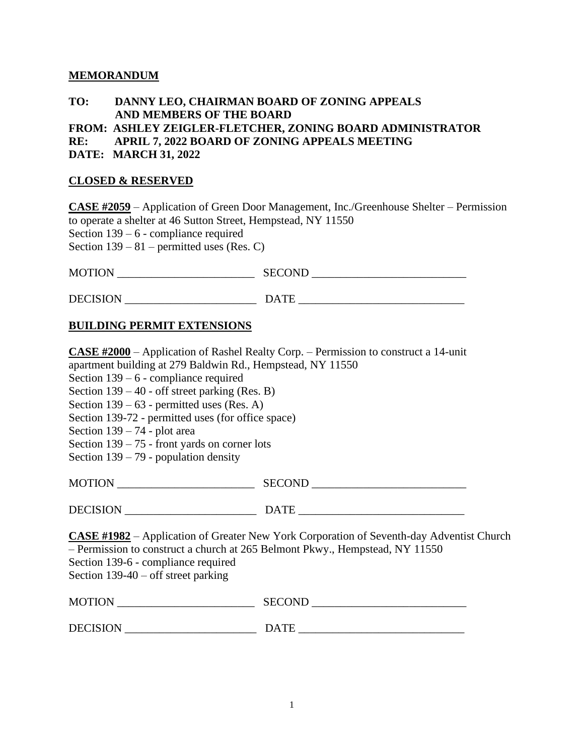## **MEMORANDUM**

# **TO: DANNY LEO, CHAIRMAN BOARD OF ZONING APPEALS AND MEMBERS OF THE BOARD**

**FROM: ASHLEY ZEIGLER-FLETCHER, ZONING BOARD ADMINISTRATOR** 

**RE: APRIL 7, 2022 BOARD OF ZONING APPEALS MEETING** 

**DATE: MARCH 31, 2022**

#### **CLOSED & RESERVED**

**CASE #2059** – Application of Green Door Management, Inc./Greenhouse Shelter – Permission to operate a shelter at 46 Sutton Street, Hempstead, NY 11550 Section 139 – 6 - compliance required Section  $139 - 81$  – permitted uses (Res. C)

| <b>MOTION</b> | SECOND<br>ັ<br>ິ |
|---------------|------------------|
|               |                  |

DECISION \_\_\_\_\_\_\_\_\_\_\_\_\_\_\_\_\_\_\_\_\_\_\_ DATE \_\_\_\_\_\_\_\_\_\_\_\_\_\_\_\_\_\_\_\_\_\_\_\_\_\_\_\_\_

## **BUILDING PERMIT EXTENSIONS**

**CASE #2000** – Application of Rashel Realty Corp. – Permission to construct a 14-unit apartment building at 279 Baldwin Rd., Hempstead, NY 11550 Section 139 – 6 - compliance required Section 139 – 40 - off street parking (Res. B) Section 139 – 63 - permitted uses (Res. A) Section 139-72 - permitted uses (for office space) Section 139 – 74 - plot area Section 139 – 75 - front yards on corner lots Section 139 – 79 - population density MOTION SECOND DECISION \_\_\_\_\_\_\_\_\_\_\_\_\_\_\_\_\_\_\_\_\_\_\_ DATE \_\_\_\_\_\_\_\_\_\_\_\_\_\_\_\_\_\_\_\_\_\_\_\_\_\_\_\_\_ **CASE #1982** – Application of Greater New York Corporation of Seventh-day Adventist Church – Permission to construct a church at 265 Belmont Pkwy., Hempstead, NY 11550 Section 139-6 - compliance required Section 139-40 – off street parking MOTION \_\_\_\_\_\_\_\_\_\_\_\_\_\_\_\_\_\_\_\_\_\_\_\_ SECOND \_\_\_\_\_\_\_\_\_\_\_\_\_\_\_\_\_\_\_\_\_\_\_\_\_\_\_ DECISION \_\_\_\_\_\_\_\_\_\_\_\_\_\_\_\_\_\_\_\_\_\_\_ DATE \_\_\_\_\_\_\_\_\_\_\_\_\_\_\_\_\_\_\_\_\_\_\_\_\_\_\_\_\_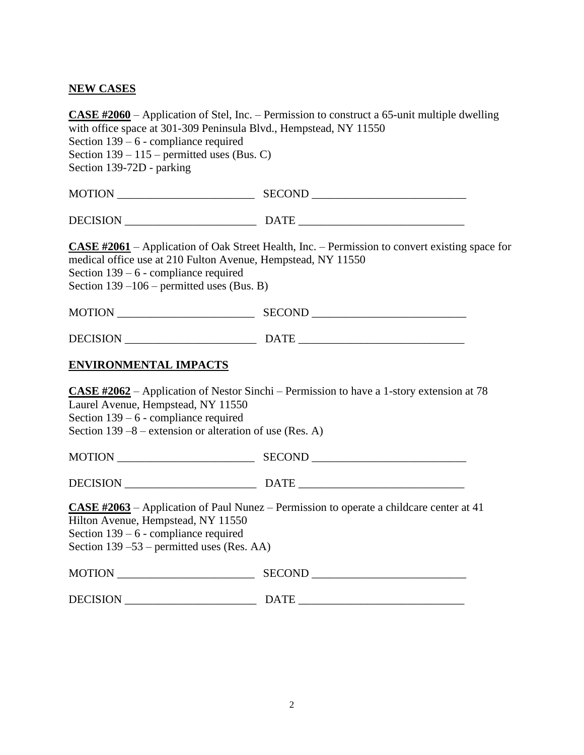# **NEW CASES**

| with office space at 301-309 Peninsula Blvd., Hempstead, NY 11550<br>Section $139 - 6$ - compliance required                                             | <b>CASE #2060</b> – Application of Stel, Inc. – Permission to construct a 65-unit multiple dwelling   |
|----------------------------------------------------------------------------------------------------------------------------------------------------------|-------------------------------------------------------------------------------------------------------|
| Section $139 - 115$ – permitted uses (Bus. C)                                                                                                            |                                                                                                       |
| Section 139-72D - parking                                                                                                                                |                                                                                                       |
|                                                                                                                                                          |                                                                                                       |
|                                                                                                                                                          |                                                                                                       |
| medical office use at 210 Fulton Avenue, Hempstead, NY 11550<br>Section $139 - 6$ - compliance required<br>Section $139 - 106$ – permitted uses (Bus. B) | <b>CASE #2061</b> – Application of Oak Street Health, Inc. – Permission to convert existing space for |
|                                                                                                                                                          |                                                                                                       |
|                                                                                                                                                          |                                                                                                       |
| <b>ENVIRONMENTAL IMPACTS</b>                                                                                                                             |                                                                                                       |
| Laurel Avenue, Hempstead, NY 11550<br>Section $139 - 6$ - compliance required                                                                            | <b>CASE #2062</b> – Application of Nestor Sinchi – Permission to have a 1-story extension at 78       |
| Section 139 –8 – extension or alteration of use (Res. A)                                                                                                 |                                                                                                       |
|                                                                                                                                                          |                                                                                                       |
|                                                                                                                                                          |                                                                                                       |
| Hilton Avenue, Hempstead, NY 11550<br>Section $139 - 6$ - compliance required<br>Section $139 - 53$ – permitted uses (Res. AA)                           | <b>CASE #2063</b> – Application of Paul Nunez – Permission to operate a childcare center at 41        |
|                                                                                                                                                          |                                                                                                       |
|                                                                                                                                                          |                                                                                                       |